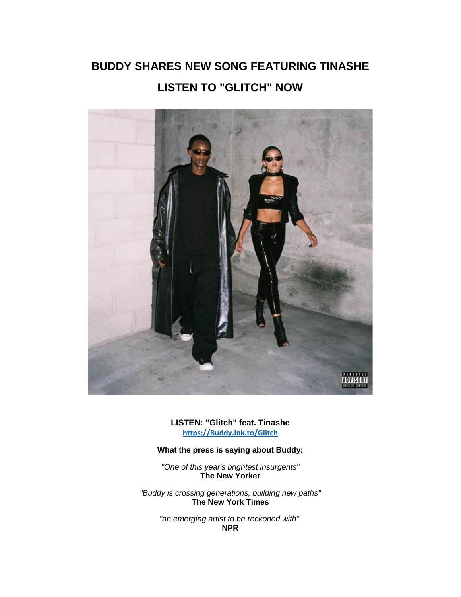## **BUDDY SHARES NEW SONG FEATURING TINASHE LISTEN TO "GLITCH" NOW**



**LISTEN: "Glitch" feat. Tinashe [https://Buddy.lnk.to/Glitch](https://eur01.safelinks.protection.outlook.com/?url=https%3A%2F%2Fbuddy.lnk.to%2FGlitch&data=02%7C01%7Cnicole.hagiwara%40rcarecords.com%7C3f488e29b1f54cce515108d84ddc0a2f%7Cf0aff3b791a54aaeaf71c63e1dda2049%7C0%7C0%7C637344954764970829&sdata=lCcvCK8lXMsB6FE03i7iNGy0fYqrEFaZ7vn6z%2F%2BYRrI%3D&reserved=0)**

## **What the press is saying about Buddy:**

*"One of this year's brightest insurgents"* **The New Yorker**

*"Buddy is crossing generations, building new paths"* **The New York Times**

> *"an emerging artist to be reckoned with"* **NPR**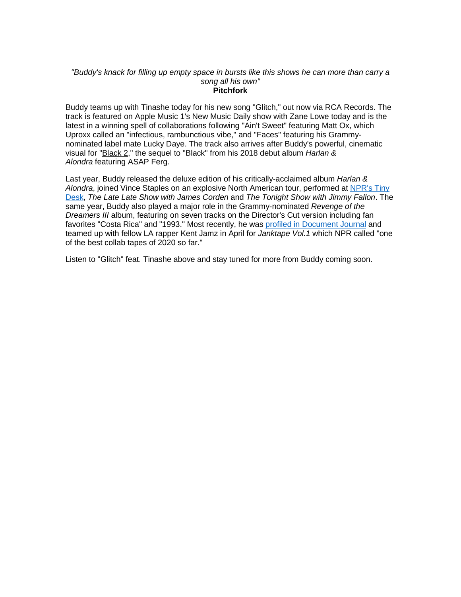## *"Buddy's knack for filling up empty space in bursts like this shows he can more than carry a song all his own"* **Pitchfork**

Buddy teams up with Tinashe today for his new song "Glitch," out now via RCA Records. The track is featured on Apple Music 1's New Music Daily show with Zane Lowe today and is the latest in a winning spell of collaborations following "Ain't Sweet" featuring Matt Ox, which Uproxx called an "infectious, rambunctious vibe," and "Faces" featuring his Grammynominated label mate Lucky Daye. The track also arrives after Buddy's powerful, cinematic visual for ["Black 2,](https://eur01.safelinks.protection.outlook.com/?url=http%3A%2F%2Fr20.rs6.net%2Ftn.jsp%3Ff%3D001Y4sCNMrZYOHlIEfp8Yf4Z-eBeTTYios3Q-h9wWPOL86Am-2vWOcpv-ASLbvUhY1DdmoFDNASuaXNDwiJFgJwuTWNHrFSAr3_o2WZL1s9Z1XnGPafeDFna7w2jqQOOvm2jcHdNWFtHJ_SEdlqRXia0hx1JA8OtbduuUyi7lgq6FUEkuWUN_I3tZXQsZ3hPpxZ51Wau9GEYi0%3D%26c%3Da_N1LPGjSXmRSp6Hs5BzYxCg50MpQYdz7Nbpx2PMPZNH5mNTCQ84tQ%3D%3D%26ch%3D4Tnf5Oq6BS0Z4fhNlgLzVRTajuz4FFkgyDA0z7DdET18YdHRBI1LWQ%3D%3D&data=02%7C01%7Cnicole.hagiwara%40rcarecords.com%7C3f488e29b1f54cce515108d84ddc0a2f%7Cf0aff3b791a54aaeaf71c63e1dda2049%7C0%7C0%7C637344954764980826&sdata=1j2Avp3zIIhkk%2BK0kMLJpcFIehoorUc8ITOAlGpX%2BQs%3D&reserved=0)" the sequel to "Black" from his 2018 debut album *Harlan & Alondra* featuring ASAP Ferg.

Last year, Buddy released the deluxe edition of his critically-acclaimed album *Harlan & Alondra*, joined Vince Staples on an explosive North American tour, performed at [NPR's Tiny](https://eur01.safelinks.protection.outlook.com/?url=http%3A%2F%2Fr20.rs6.net%2Ftn.jsp%3Ff%3D001Y4sCNMrZYOHlIEfp8Yf4Z-eBeTTYios3Q-h9wWPOL86Am-2vWOcpv3NAME9MXdTqK6j_-hgcQ9-X3l_-aUmnIIezC1BHSDyw4rcv7u1LLseuq6gkEr2hdfSOEchH3ulJpgZbnubpV3178TVtNxMluyNfQ7h3nsZkXuHpniwfnCj8oYXur486t5gAUKXzuILn6NTgNgLRfsQ%3D%26c%3Da_N1LPGjSXmRSp6Hs5BzYxCg50MpQYdz7Nbpx2PMPZNH5mNTCQ84tQ%3D%3D%26ch%3D4Tnf5Oq6BS0Z4fhNlgLzVRTajuz4FFkgyDA0z7DdET18YdHRBI1LWQ%3D%3D&data=02%7C01%7Cnicole.hagiwara%40rcarecords.com%7C3f488e29b1f54cce515108d84ddc0a2f%7Cf0aff3b791a54aaeaf71c63e1dda2049%7C0%7C0%7C637344954764990820&sdata=790HRlqB0pEt0ayzCjx0dR4u1Oqv74PyY%2BEZf5lZ7FM%3D&reserved=0)  [Desk,](https://eur01.safelinks.protection.outlook.com/?url=http%3A%2F%2Fr20.rs6.net%2Ftn.jsp%3Ff%3D001Y4sCNMrZYOHlIEfp8Yf4Z-eBeTTYios3Q-h9wWPOL86Am-2vWOcpv3NAME9MXdTqK6j_-hgcQ9-X3l_-aUmnIIezC1BHSDyw4rcv7u1LLseuq6gkEr2hdfSOEchH3ulJpgZbnubpV3178TVtNxMluyNfQ7h3nsZkXuHpniwfnCj8oYXur486t5gAUKXzuILn6NTgNgLRfsQ%3D%26c%3Da_N1LPGjSXmRSp6Hs5BzYxCg50MpQYdz7Nbpx2PMPZNH5mNTCQ84tQ%3D%3D%26ch%3D4Tnf5Oq6BS0Z4fhNlgLzVRTajuz4FFkgyDA0z7DdET18YdHRBI1LWQ%3D%3D&data=02%7C01%7Cnicole.hagiwara%40rcarecords.com%7C3f488e29b1f54cce515108d84ddc0a2f%7Cf0aff3b791a54aaeaf71c63e1dda2049%7C0%7C0%7C637344954764990820&sdata=790HRlqB0pEt0ayzCjx0dR4u1Oqv74PyY%2BEZf5lZ7FM%3D&reserved=0) *The Late Late Show with James Corden* and *The Tonight Show with Jimmy Fallon*. The same year, Buddy also played a major role in the Grammy-nominated *Revenge of the Dreamers III* album, featuring on seven tracks on the Director's Cut version including fan favorites "Costa Rica" and "1993." Most recently, he was [profiled in Document Journal](https://eur01.safelinks.protection.outlook.com/?url=http%3A%2F%2Fr20.rs6.net%2Ftn.jsp%3Ff%3D001Y4sCNMrZYOHlIEfp8Yf4Z-eBeTTYios3Q-h9wWPOL86Am-2vWOcpv3LXWLmVGqivtwjexQuaPqdM33Ne03QlfHkTD_fXEZcz2TX2FcYEqntWRtpN537PvnUATDLEEGd3GVZvN0sIWah4RSR1E5wJB_0nDzN8B_CTXbIIiKlHdnh8lO0VM6_Rb1SCGgyno7Lprw3QtPxEM_eYixYMuiRiiWtq7HXpmOlyheTSo9ATRlobjWF4ENTDQsRb5a_L5IppHTjm44tQvGTvEvs-CqDk887kNA7xxzRXYgDIOeI7L6g%3D%26c%3Da_N1LPGjSXmRSp6Hs5BzYxCg50MpQYdz7Nbpx2PMPZNH5mNTCQ84tQ%3D%3D%26ch%3D4Tnf5Oq6BS0Z4fhNlgLzVRTajuz4FFkgyDA0z7DdET18YdHRBI1LWQ%3D%3D&data=02%7C01%7Cnicole.hagiwara%40rcarecords.com%7C3f488e29b1f54cce515108d84ddc0a2f%7Cf0aff3b791a54aaeaf71c63e1dda2049%7C0%7C0%7C637344954764990820&sdata=nsP0%2BlMOHTI8agsbg2CRNuY2Oe5KUOcOTKiReiH5Kmc%3D&reserved=0) and teamed up with fellow LA rapper Kent Jamz in April for *Janktape Vol.1* which NPR called "one of the best collab tapes of 2020 so far."

Listen to "Glitch" feat. Tinashe above and stay tuned for more from Buddy coming soon.